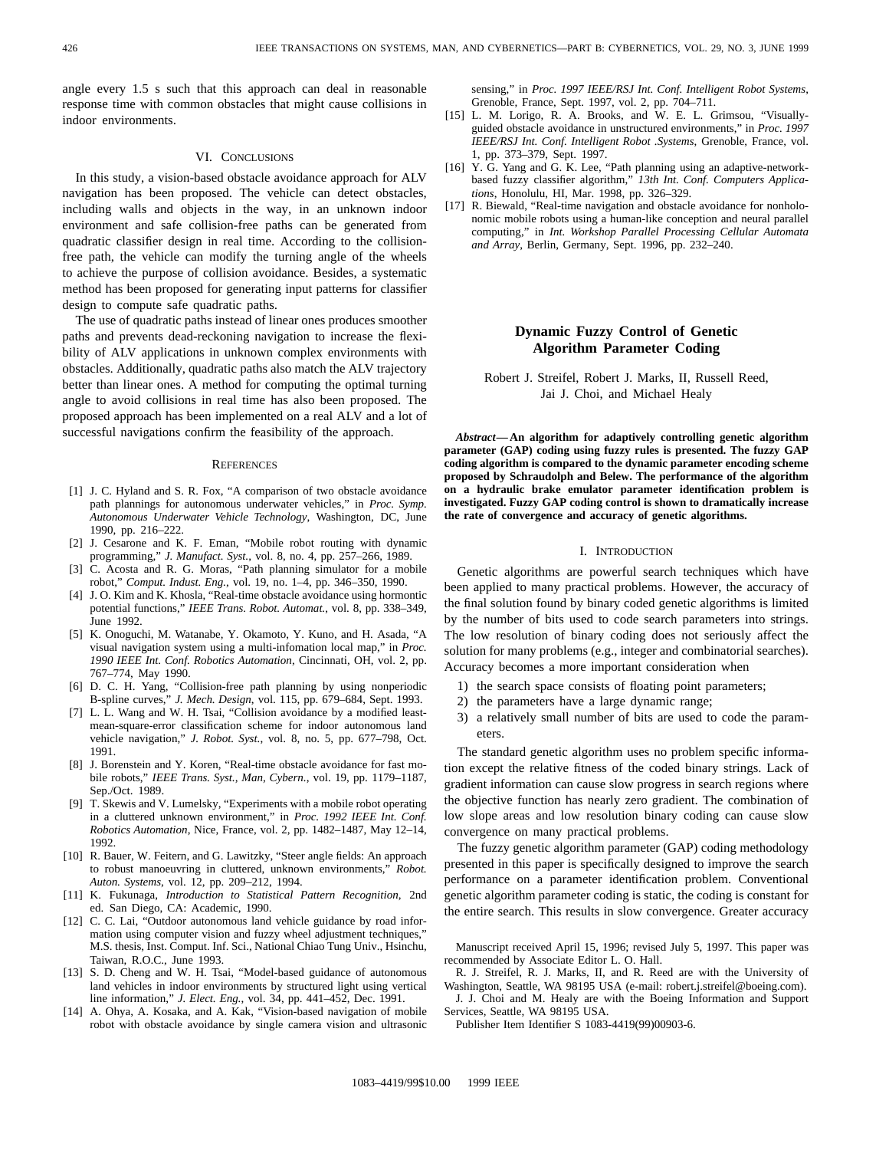angle every 1.5 s such that this approach can deal in reasonable response time with common obstacles that might cause collisions in indoor environments.

## VI. CONCLUSIONS

In this study, a vision-based obstacle avoidance approach for ALV navigation has been proposed. The vehicle can detect obstacles, including walls and objects in the way, in an unknown indoor environment and safe collision-free paths can be generated from quadratic classifier design in real time. According to the collisionfree path, the vehicle can modify the turning angle of the wheels to achieve the purpose of collision avoidance. Besides, a systematic method has been proposed for generating input patterns for classifier design to compute safe quadratic paths.

The use of quadratic paths instead of linear ones produces smoother paths and prevents dead-reckoning navigation to increase the flexibility of ALV applications in unknown complex environments with obstacles. Additionally, quadratic paths also match the ALV trajectory better than linear ones. A method for computing the optimal turning angle to avoid collisions in real time has also been proposed. The proposed approach has been implemented on a real ALV and a lot of successful navigations confirm the feasibility of the approach.

#### **REFERENCES**

- [1] J. C. Hyland and S. R. Fox, "A comparison of two obstacle avoidance path plannings for autonomous underwater vehicles," in *Proc. Symp. Autonomous Underwater Vehicle Technology*, Washington, DC, June 1990, pp. 216–222.
- [2] J. Cesarone and K. F. Eman, "Mobile robot routing with dynamic programming," *J. Manufact. Syst.*, vol. 8, no. 4, pp. 257–266, 1989.
- [3] C. Acosta and R. G. Moras, "Path planning simulator for a mobile robot," *Comput. Indust. Eng.*, vol. 19, no. 1–4, pp. 346–350, 1990.
- [4] J. O. Kim and K. Khosla, "Real-time obstacle avoidance using hormontic potential functions," *IEEE Trans. Robot. Automat.*, vol. 8, pp. 338–349, June 1992.
- [5] K. Onoguchi, M. Watanabe, Y. Okamoto, Y. Kuno, and H. Asada, "A visual navigation system using a multi-infomation local map," in *Proc. 1990 IEEE Int. Conf. Robotics Automation*, Cincinnati, OH, vol. 2, pp. 767–774, May 1990.
- [6] D. C. H. Yang, "Collision-free path planning by using nonperiodic B-spline curves," *J. Mech. Design*, vol. 115, pp. 679–684, Sept. 1993.
- [7] L. L. Wang and W. H. Tsai, "Collision avoidance by a modified leastmean-square-error classification scheme for indoor autonomous land vehicle navigation," *J. Robot. Syst.*, vol. 8, no. 5, pp. 677–798, Oct. 1991.
- [8] J. Borenstein and Y. Koren, "Real-time obstacle avoidance for fast mobile robots," *IEEE Trans. Syst., Man, Cybern.*, vol. 19, pp. 1179–1187, Sep./Oct. 1989.
- [9] T. Skewis and V. Lumelsky, "Experiments with a mobile robot operating in a cluttered unknown environment," in *Proc. 1992 IEEE Int. Conf. Robotics Automation*, Nice, France, vol. 2, pp. 1482–1487, May 12–14, 1992.
- [10] R. Bauer, W. Feitern, and G. Lawitzky, "Steer angle fields: An approach to robust manoeuvring in cluttered, unknown environments," *Robot. Auton. Systems*, vol. 12, pp. 209–212, 1994.
- [11] K. Fukunaga, *Introduction to Statistical Pattern Recognition*, 2nd ed. San Diego, CA: Academic, 1990.
- [12] C. C. Lai, "Outdoor autonomous land vehicle guidance by road information using computer vision and fuzzy wheel adjustment techniques,' M.S. thesis, Inst. Comput. Inf. Sci., National Chiao Tung Univ., Hsinchu, Taiwan, R.O.C., June 1993.
- [13] S. D. Cheng and W. H. Tsai, "Model-based guidance of autonomous land vehicles in indoor environments by structured light using vertical line information," *J. Elect. Eng.*, vol. 34, pp. 441–452, Dec. 1991.
- [14] A. Ohya, A. Kosaka, and A. Kak, "Vision-based navigation of mobile robot with obstacle avoidance by single camera vision and ultrasonic

sensing," in *Proc. 1997 IEEE/RSJ Int. Conf. Intelligent Robot Systems*, Grenoble, France, Sept. 1997, vol. 2, pp. 704–711.

- [15] L. M. Lorigo, R. A. Brooks, and W. E. L. Grimsou, "Visuallyguided obstacle avoidance in unstructured environments," in *Proc. 1997 IEEE/RSJ Int. Conf. Intelligent Robot .Systems*, Grenoble, France, vol. 1, pp. 373–379, Sept. 1997.
- [16] Y. G. Yang and G. K. Lee, "Path planning using an adaptive-networkbased fuzzy classifier algorithm," *13th Int. Conf. Computers Applications*, Honolulu, HI, Mar. 1998, pp. 326–329.
- [17] R. Biewald, "Real-time navigation and obstacle avoidance for nonholonomic mobile robots using a human-like conception and neural parallel computing," in *Int. Workshop Parallel Processing Cellular Automata and Array*, Berlin, Germany, Sept. 1996, pp. 232–240.

# **Dynamic Fuzzy Control of Genetic Algorithm Parameter Coding**

Robert J. Streifel, Robert J. Marks, II, Russell Reed, Jai J. Choi, and Michael Healy

*Abstract—***An algorithm for adaptively controlling genetic algorithm parameter (GAP) coding using fuzzy rules is presented. The fuzzy GAP coding algorithm is compared to the dynamic parameter encoding scheme proposed by Schraudolph and Belew. The performance of the algorithm on a hydraulic brake emulator parameter identification problem is investigated. Fuzzy GAP coding control is shown to dramatically increase the rate of convergence and accuracy of genetic algorithms.**

### I. INTRODUCTION

Genetic algorithms are powerful search techniques which have been applied to many practical problems. However, the accuracy of the final solution found by binary coded genetic algorithms is limited by the number of bits used to code search parameters into strings. The low resolution of binary coding does not seriously affect the solution for many problems (e.g., integer and combinatorial searches). Accuracy becomes a more important consideration when

- 1) the search space consists of floating point parameters;
- 2) the parameters have a large dynamic range;
- 3) a relatively small number of bits are used to code the parameters.

The standard genetic algorithm uses no problem specific information except the relative fitness of the coded binary strings. Lack of gradient information can cause slow progress in search regions where the objective function has nearly zero gradient. The combination of low slope areas and low resolution binary coding can cause slow convergence on many practical problems.

The fuzzy genetic algorithm parameter (GAP) coding methodology presented in this paper is specifically designed to improve the search performance on a parameter identification problem. Conventional genetic algorithm parameter coding is static, the coding is constant for the entire search. This results in slow convergence. Greater accuracy

Manuscript received April 15, 1996; revised July 5, 1997. This paper was recommended by Associate Editor L. O. Hall.

- R. J. Streifel, R. J. Marks, II, and R. Reed are with the University of Washington, Seattle, WA 98195 USA (e-mail: robert.j.streifel@boeing.com).
- J. J. Choi and M. Healy are with the Boeing Information and Support Services, Seattle, WA 98195 USA.
- Publisher Item Identifier S 1083-4419(99)00903-6.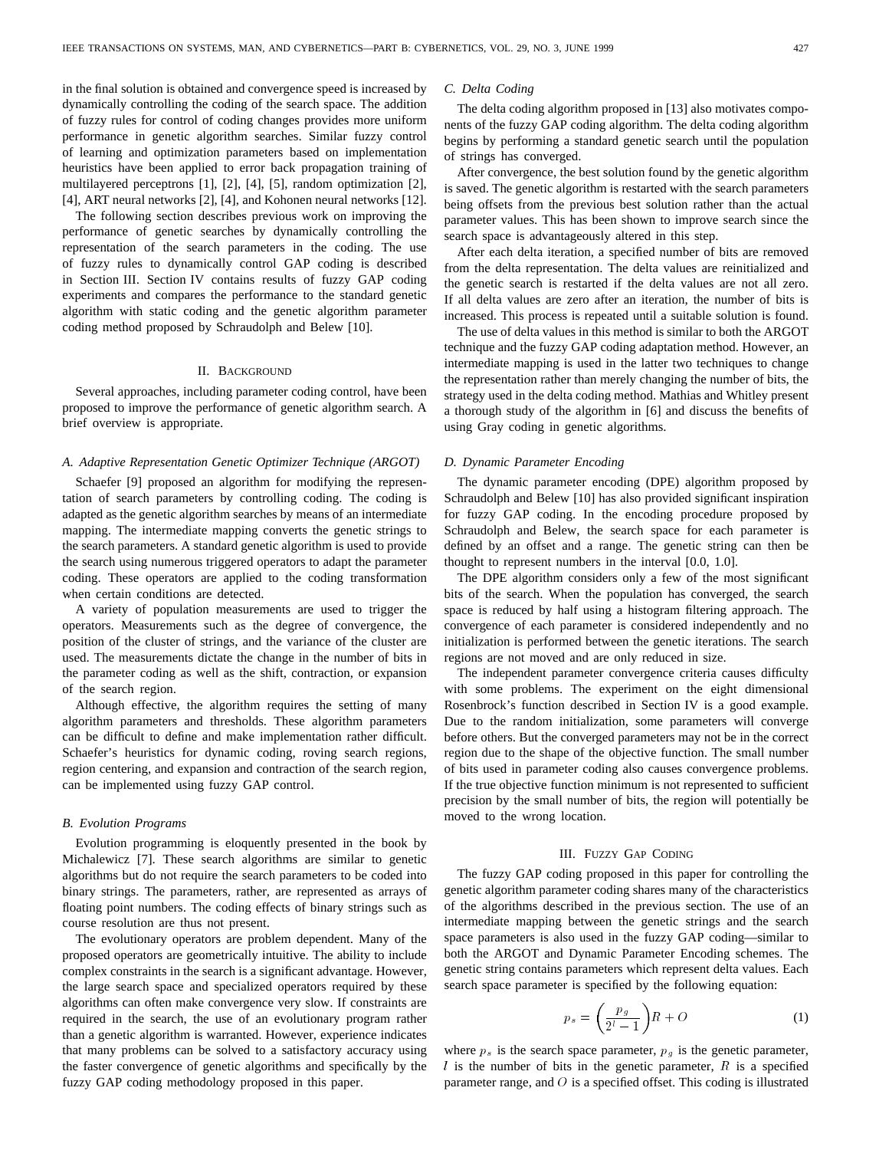in the final solution is obtained and convergence speed is increased by dynamically controlling the coding of the search space. The addition of fuzzy rules for control of coding changes provides more uniform performance in genetic algorithm searches. Similar fuzzy control of learning and optimization parameters based on implementation heuristics have been applied to error back propagation training of multilayered perceptrons [1], [2], [4], [5], random optimization [2], [4], ART neural networks [2], [4], and Kohonen neural networks [12].

The following section describes previous work on improving the performance of genetic searches by dynamically controlling the representation of the search parameters in the coding. The use of fuzzy rules to dynamically control GAP coding is described in Section III. Section IV contains results of fuzzy GAP coding experiments and compares the performance to the standard genetic algorithm with static coding and the genetic algorithm parameter coding method proposed by Schraudolph and Belew [10].

### II. BACKGROUND

Several approaches, including parameter coding control, have been proposed to improve the performance of genetic algorithm search. A brief overview is appropriate.

### *A. Adaptive Representation Genetic Optimizer Technique (ARGOT)*

Schaefer [9] proposed an algorithm for modifying the representation of search parameters by controlling coding. The coding is adapted as the genetic algorithm searches by means of an intermediate mapping. The intermediate mapping converts the genetic strings to the search parameters. A standard genetic algorithm is used to provide the search using numerous triggered operators to adapt the parameter coding. These operators are applied to the coding transformation when certain conditions are detected.

A variety of population measurements are used to trigger the operators. Measurements such as the degree of convergence, the position of the cluster of strings, and the variance of the cluster are used. The measurements dictate the change in the number of bits in the parameter coding as well as the shift, contraction, or expansion of the search region.

Although effective, the algorithm requires the setting of many algorithm parameters and thresholds. These algorithm parameters can be difficult to define and make implementation rather difficult. Schaefer's heuristics for dynamic coding, roving search regions, region centering, and expansion and contraction of the search region, can be implemented using fuzzy GAP control.

### *B. Evolution Programs*

Evolution programming is eloquently presented in the book by Michalewicz [7]. These search algorithms are similar to genetic algorithms but do not require the search parameters to be coded into binary strings. The parameters, rather, are represented as arrays of floating point numbers. The coding effects of binary strings such as course resolution are thus not present.

The evolutionary operators are problem dependent. Many of the proposed operators are geometrically intuitive. The ability to include complex constraints in the search is a significant advantage. However, the large search space and specialized operators required by these algorithms can often make convergence very slow. If constraints are required in the search, the use of an evolutionary program rather than a genetic algorithm is warranted. However, experience indicates that many problems can be solved to a satisfactory accuracy using the faster convergence of genetic algorithms and specifically by the fuzzy GAP coding methodology proposed in this paper.

## *C. Delta Coding*

The delta coding algorithm proposed in [13] also motivates components of the fuzzy GAP coding algorithm. The delta coding algorithm begins by performing a standard genetic search until the population of strings has converged.

After convergence, the best solution found by the genetic algorithm is saved. The genetic algorithm is restarted with the search parameters being offsets from the previous best solution rather than the actual parameter values. This has been shown to improve search since the search space is advantageously altered in this step.

After each delta iteration, a specified number of bits are removed from the delta representation. The delta values are reinitialized and the genetic search is restarted if the delta values are not all zero. If all delta values are zero after an iteration, the number of bits is increased. This process is repeated until a suitable solution is found.

The use of delta values in this method is similar to both the ARGOT technique and the fuzzy GAP coding adaptation method. However, an intermediate mapping is used in the latter two techniques to change the representation rather than merely changing the number of bits, the strategy used in the delta coding method. Mathias and Whitley present a thorough study of the algorithm in [6] and discuss the benefits of using Gray coding in genetic algorithms.

#### *D. Dynamic Parameter Encoding*

The dynamic parameter encoding (DPE) algorithm proposed by Schraudolph and Belew [10] has also provided significant inspiration for fuzzy GAP coding. In the encoding procedure proposed by Schraudolph and Belew, the search space for each parameter is defined by an offset and a range. The genetic string can then be thought to represent numbers in the interval [0.0, 1.0].

The DPE algorithm considers only a few of the most significant bits of the search. When the population has converged, the search space is reduced by half using a histogram filtering approach. The convergence of each parameter is considered independently and no initialization is performed between the genetic iterations. The search regions are not moved and are only reduced in size.

The independent parameter convergence criteria causes difficulty with some problems. The experiment on the eight dimensional Rosenbrock's function described in Section IV is a good example. Due to the random initialization, some parameters will converge before others. But the converged parameters may not be in the correct region due to the shape of the objective function. The small number of bits used in parameter coding also causes convergence problems. If the true objective function minimum is not represented to sufficient precision by the small number of bits, the region will potentially be moved to the wrong location.

### III. FUZZY GAP CODING

The fuzzy GAP coding proposed in this paper for controlling the genetic algorithm parameter coding shares many of the characteristics of the algorithms described in the previous section. The use of an intermediate mapping between the genetic strings and the search space parameters is also used in the fuzzy GAP coding—similar to both the ARGOT and Dynamic Parameter Encoding schemes. The genetic string contains parameters which represent delta values. Each search space parameter is specified by the following equation:

parameters which represent delta values. Each  
r is specified by the following equation:  

$$
p_s = \left(\frac{p_g}{2^l - 1}\right)R + O
$$
(1)

where  $p_s$  is the search space parameter,  $p_g$  is the genetic parameter,  $l$  is the number of bits in the genetic parameter,  $R$  is a specified parameter range, and  $O$  is a specified offset. This coding is illustrated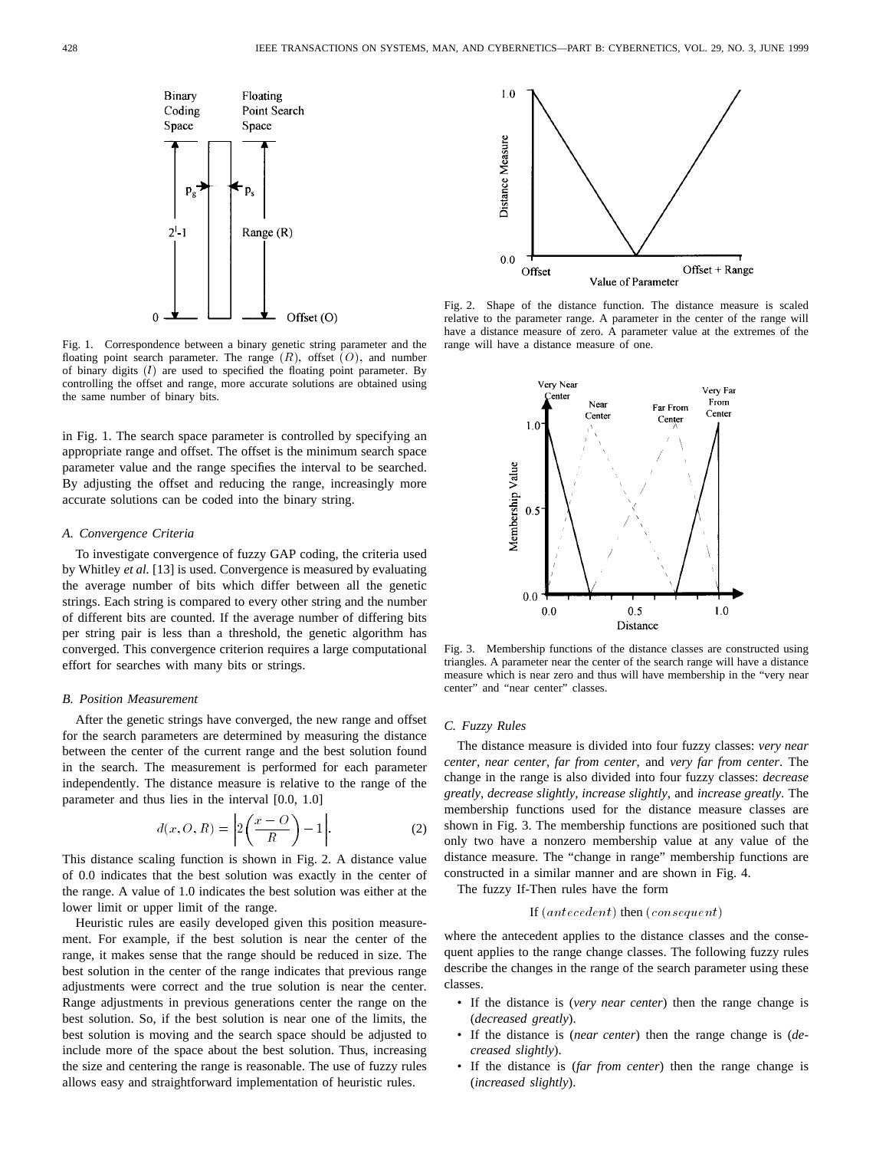

Fig. 1. Correspondence between a binary genetic string parameter and the floating point search parameter. The range  $(R)$ , offset  $(O)$ , and number of binary digits  $(l)$  are used to specified the floating point parameter. By controlling the offset and range, more accurate solutions are obtained using the same number of binary bits.

in Fig. 1. The search space parameter is controlled by specifying an appropriate range and offset. The offset is the minimum search space parameter value and the range specifies the interval to be searched. By adjusting the offset and reducing the range, increasingly more accurate solutions can be coded into the binary string.

## *A. Convergence Criteria*

To investigate convergence of fuzzy GAP coding, the criteria used by Whitley *et al.* [13] is used. Convergence is measured by evaluating the average number of bits which differ between all the genetic strings. Each string is compared to every other string and the number of different bits are counted. If the average number of differing bits per string pair is less than a threshold, the genetic algorithm has converged. This convergence criterion requires a large computational effort for searches with many bits or strings.

#### *B. Position Measurement*

After the genetic strings have converged, the new range and offset for the search parameters are determined by measuring the distance between the center of the current range and the best solution found in the search. The measurement is performed for each parameter<br>independently. The distance measure is relative to the range of the<br>parameter and thus lies in the interval [0.0, 1.0]<br> $d(x, O, R) = |2(\frac{x - O}{R}) - 1|$ . (2) in the search. The measurement is performed for each parameter<br>independently. The distance measure is relative to the range of the<br>parameter and thus lies in the interval [0.0, 1.0]<br> $d(x, O, R) = \left|2\left(\frac{x - O}{R}\right) - 1\right|$ . (2) parameter and thus lies in the interval [0.0, 1.0]

$$
d(x, O, R) = \left| 2\left(\frac{x - O}{R}\right) - 1 \right|.
$$
 (2)

This distance scaling function is shown in Fig. 2. A distance value of 0.0 indicates that the best solution was exactly in the center of the range. A value of 1.0 indicates the best solution was either at the lower limit or upper limit of the range.

Heuristic rules are easily developed given this position measurement. For example, if the best solution is near the center of the range, it makes sense that the range should be reduced in size. The best solution in the center of the range indicates that previous range adjustments were correct and the true solution is near the center. Range adjustments in previous generations center the range on the best solution. So, if the best solution is near one of the limits, the best solution is moving and the search space should be adjusted to include more of the space about the best solution. Thus, increasing the size and centering the range is reasonable. The use of fuzzy rules allows easy and straightforward implementation of heuristic rules.



Fig. 2. Shape of the distance function. The distance measure is scaled relative to the parameter range. A parameter in the center of the range will have a distance measure of zero. A parameter value at the extremes of the range will have a distance measure of one.



Fig. 3. Membership functions of the distance classes are constructed using triangles. A parameter near the center of the search range will have a distance measure which is near zero and thus will have membership in the "very near center" and "near center" classes.

## *C. Fuzzy Rules*

The distance measure is divided into four fuzzy classes: *very near center, near center, far from center*, and *very far from center*. The change in the range is also divided into four fuzzy classes: *decrease greatly, decrease slightly, increase slightly*, and *increase greatly*. The membership functions used for the distance measure classes are shown in Fig. 3. The membership functions are positioned such that only two have a nonzero membership value at any value of the distance measure. The "change in range" membership functions are constructed in a similar manner and are shown in Fig. 4.

The fuzzy If-Then rules have the form

If 
$$
(antecedent)
$$
 then  $(consequent)$ 

where the antecedent applies to the distance classes and the consequent applies to the range change classes. The following fuzzy rules describe the changes in the range of the search parameter using these classes.

- If the distance is (*very near center*) then the range change is (*decreased greatly*).
- If the distance is (*near center*) then the range change is (*decreased slightly*).
- If the distance is (*far from center*) then the range change is (*increased slightly*).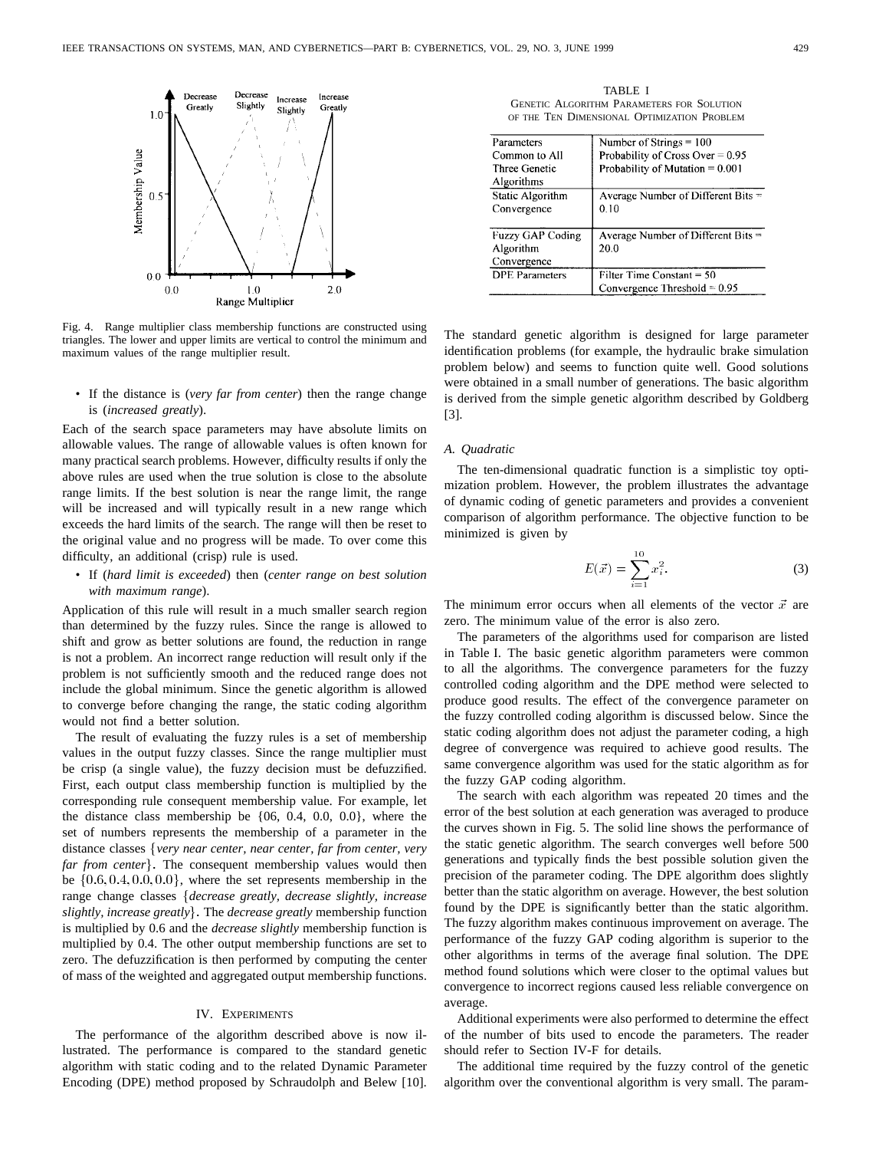

Fig. 4. Range multiplier class membership functions are constructed using triangles. The lower and upper limits are vertical to control the minimum and maximum values of the range multiplier result.

• If the distance is (*very far from center*) then the range change is (*increased greatly*).

Each of the search space parameters may have absolute limits on allowable values. The range of allowable values is often known for many practical search problems. However, difficulty results if only the above rules are used when the true solution is close to the absolute range limits. If the best solution is near the range limit, the range will be increased and will typically result in a new range which exceeds the hard limits of the search. The range will then be reset to the original value and no progress will be made. To over come this difficulty, an additional (crisp) rule is used.

• If (*hard limit is exceeded*) then (*center range on best solution with maximum range*).

Application of this rule will result in a much smaller search region than determined by the fuzzy rules. Since the range is allowed to shift and grow as better solutions are found, the reduction in range is not a problem. An incorrect range reduction will result only if the problem is not sufficiently smooth and the reduced range does not include the global minimum. Since the genetic algorithm is allowed to converge before changing the range, the static coding algorithm would not find a better solution.

The result of evaluating the fuzzy rules is a set of membership values in the output fuzzy classes. Since the range multiplier must be crisp (a single value), the fuzzy decision must be defuzzified. First, each output class membership function is multiplied by the corresponding rule consequent membership value. For example, let the distance class membership be {06, 0.4, 0.0, 0.0}, where the set of numbers represents the membership of a parameter in the distance classes f*very near center, near center, far from center, very far from center*. The consequent membership values would then be  $\{0.6, 0.4, 0.0, 0.0\}$ , where the set represents membership in the range change classes f*decrease greatly, decrease slightly, increase slightly, increase greatly*. The *decrease greatly* membership function is multiplied by 0.6 and the *decrease slightly* membership function is multiplied by 0.4. The other output membership functions are set to zero. The defuzzification is then performed by computing the center of mass of the weighted and aggregated output membership functions.

#### IV. EXPERIMENTS

The performance of the algorithm described above is now illustrated. The performance is compared to the standard genetic algorithm with static coding and to the related Dynamic Parameter Encoding (DPE) method proposed by Schraudolph and Belew [10].

TABLE I GENETIC ALGORITHM PARAMETERS FOR SOLUTION OF THE TEN DIMENSIONAL OPTIMIZATION PROBLEM

| Parameters                           | Number of Strings $= 100$                    |
|--------------------------------------|----------------------------------------------|
| Common to All                        | Probability of Cross Over = 0.95             |
| Three Genetic                        | Probability of Mutation $= 0.001$            |
| Algorithms                           |                                              |
| Static Algorithm                     | Average Number of Different Bits $=$         |
| Convergence                          | 0.10                                         |
| <b>Fuzzy GAP Coding</b><br>Algorithm | Average Number of Different Bits $=$<br>20.0 |
| Convergence                          |                                              |
| <b>DPE</b> Parameters                | Filter Time Constant $= 50$                  |
|                                      | Convergence Threshold $= 0.95$               |

The standard genetic algorithm is designed for large parameter identification problems (for example, the hydraulic brake simulation problem below) and seems to function quite well. Good solutions were obtained in a small number of generations. The basic algorithm is derived from the simple genetic algorithm described by Goldberg [3].

## *A. Quadratic*

The ten-dimensional quadratic function is a simplistic toy optimization problem. However, the problem illustrates the advantage of dynamic coding of genetic parameters and provides a convenient comparison of algorithm performance. The objective function to be minimized is given by

$$
E(\vec{x}) = \sum_{i=1}^{10} x_i^2.
$$
 (3)

The minimum error occurs when all elements of the vector  $\vec{x}$  are zero. The minimum value of the error is also zero.

The parameters of the algorithms used for comparison are listed in Table I. The basic genetic algorithm parameters were common to all the algorithms. The convergence parameters for the fuzzy controlled coding algorithm and the DPE method were selected to produce good results. The effect of the convergence parameter on the fuzzy controlled coding algorithm is discussed below. Since the static coding algorithm does not adjust the parameter coding, a high degree of convergence was required to achieve good results. The same convergence algorithm was used for the static algorithm as for the fuzzy GAP coding algorithm.

The search with each algorithm was repeated 20 times and the error of the best solution at each generation was averaged to produce the curves shown in Fig. 5. The solid line shows the performance of the static genetic algorithm. The search converges well before 500 generations and typically finds the best possible solution given the precision of the parameter coding. The DPE algorithm does slightly better than the static algorithm on average. However, the best solution found by the DPE is significantly better than the static algorithm. The fuzzy algorithm makes continuous improvement on average. The performance of the fuzzy GAP coding algorithm is superior to the other algorithms in terms of the average final solution. The DPE method found solutions which were closer to the optimal values but convergence to incorrect regions caused less reliable convergence on average.

Additional experiments were also performed to determine the effect of the number of bits used to encode the parameters. The reader should refer to Section IV-F for details.

The additional time required by the fuzzy control of the genetic algorithm over the conventional algorithm is very small. The param-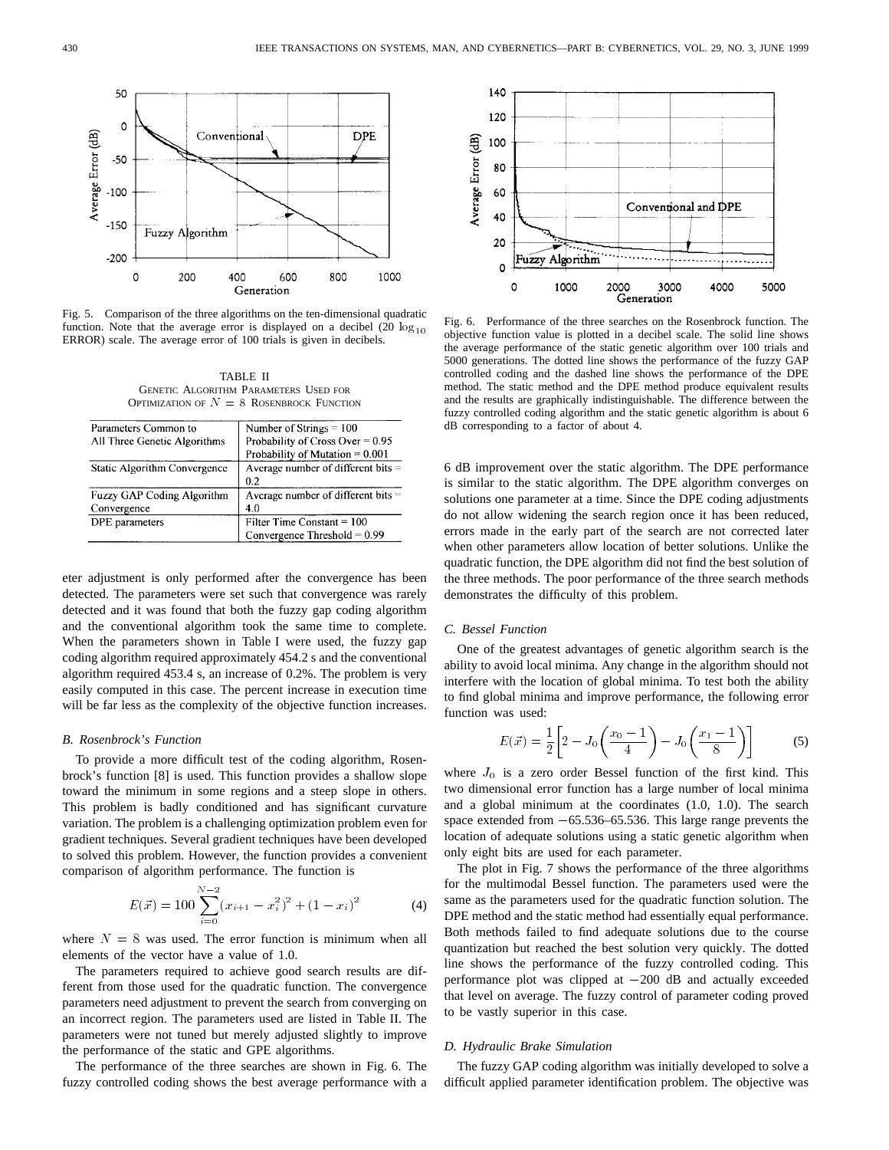

Fig. 5. Comparison of the three algorithms on the ten-dimensional quadratic function. Note that the average error is displayed on a decibel  $(20 \log_{10}$ ERROR) scale. The average error of 100 trials is given in decibels.

TABLE II GENETIC ALGORITHM PARAMETERS USED FOR OPTIMIZATION OF  $N = 8$  ROSENBROCK FUNCTION

| Parameters Common to              | Number of Strings $= 100$            |
|-----------------------------------|--------------------------------------|
| All Three Genetic Algorithms      | Probability of Cross Over = $0.95$   |
|                                   | Probability of Mutation = 0.001      |
| Static Algorithm Convergence      | Average number of different bits $=$ |
|                                   | 0.2                                  |
| <b>Fuzzy GAP Coding Algorithm</b> | Average number of different bits $=$ |
| Convergence                       | 4.0                                  |
| DPE parameters                    | Filter Time Constant = $100$         |
|                                   | Convergence Threshold = $0.99$       |

eter adjustment is only performed after the convergence has been detected. The parameters were set such that convergence was rarely detected and it was found that both the fuzzy gap coding algorithm and the conventional algorithm took the same time to complete. When the parameters shown in Table I were used, the fuzzy gap coding algorithm required approximately 454.2 s and the conventional algorithm required 453.4 s, an increase of 0.2%. The problem is very easily computed in this case. The percent increase in execution time will be far less as the complexity of the objective function increases.

## *B. Rosenbrock's Function*

To provide a more difficult test of the coding algorithm, Rosenbrock's function [8] is used. This function provides a shallow slope toward the minimum in some regions and a steep slope in others. This problem is badly conditioned and has significant curvature variation. The problem is a challenging optimization problem even for gradient techniques. Several gradient techniques have been developed to solved this problem. However, the function provides a convenient<br>comparison of algorithm performance. The function is<br> $E(\vec{x}) = 100 \sum_{i=1}^{N-2} (x_{i+1} - x_i^2)^2 + (1 - x_i)^2$  (4) comparison of algorithm performance. The function is  $over$  perf

$$
E(\vec{x}) = 100 \sum_{i=0}^{N-2} (x_{i+1} - x_i^2)^2 + (1 - x_i)^2
$$
 (4)

where  $N = 8$  was used. The error function is minimum when all elements of the vector have a value of 1.0.

The parameters required to achieve good search results are different from those used for the quadratic function. The convergence parameters need adjustment to prevent the search from converging on an incorrect region. The parameters used are listed in Table II. The parameters were not tuned but merely adjusted slightly to improve the performance of the static and GPE algorithms.

The performance of the three searches are shown in Fig. 6. The fuzzy controlled coding shows the best average performance with a



Fig. 6. Performance of the three searches on the Rosenbrock function. The objective function value is plotted in a decibel scale. The solid line shows the average performance of the static genetic algorithm over 100 trials and 5000 generations. The dotted line shows the performance of the fuzzy GAP controlled coding and the dashed line shows the performance of the DPE method. The static method and the DPE method produce equivalent results and the results are graphically indistinguishable. The difference between the fuzzy controlled coding algorithm and the static genetic algorithm is about 6 dB corresponding to a factor of about 4.

6 dB improvement over the static algorithm. The DPE performance is similar to the static algorithm. The DPE algorithm converges on solutions one parameter at a time. Since the DPE coding adjustments do not allow widening the search region once it has been reduced, errors made in the early part of the search are not corrected later when other parameters allow location of better solutions. Unlike the quadratic function, the DPE algorithm did not find the best solution of the three methods. The poor performance of the three search methods demonstrates the difficulty of this problem.

## *C. Bessel Function*

One of the greatest advantages of genetic algorithm search is the ability to avoid local minima. Any change in the algorithm should not interfere with the location of global minima. To test both the ability<br>to find global minima and improve performance, the following error<br>function was used:<br> $E(x) = \frac{1}{2} \left[ 2x + \frac{1}{2} \left( x - 1 \right) + \frac{1}{2} \left( x - 1 \right) \right]$ to find global minima and improve performance, the following error<br>
function was used:<br>  $E(\vec{x}) = \frac{1}{2} \left[ 2 - J_0 \left( \frac{x_0 - 1}{4} \right) - J_0 \left( \frac{x_1 - 1}{8} \right) \right]$  (5) function was used:

$$
E(\vec{x}) = \frac{1}{2} \left[ 2 - J_0 \left( \frac{x_0 - 1}{4} \right) - J_0 \left( \frac{x_1 - 1}{8} \right) \right]
$$
 (5)

where  $J_0$  is a zero order Bessel function of the first kind. This two dimensional error function has a large number of local minima and a global minimum at the coordinates  $(1.0, 1.0)$ . The search space extended from  $$ two dimensional error function has a large number of local minima and a global minimum at the coordinates (1.0, 1.0). The search location of adequate solutions using a static genetic algorithm when only eight bits are used for each parameter.

The plot in Fig. 7 shows the performance of the three algorithms for the multimodal Bessel function. The parameters used were the same as the parameters used for the quadratic function solution. The DPE method and the static method had essentially equal performance. Both methods failed to find adequate solutions due to the course<br>quantization but reached the best solution very quickly. The dotted<br>line shows the performance of the fuzzy controlled coding. This<br>performance plot was cli quantization but reached the best solution very quickly. The dotted line shows the performance of the fuzzy controlled coding. This that level on average. The fuzzy control of parameter coding proved to be vastly superior in this case.

### *D. Hydraulic Brake Simulation*

The fuzzy GAP coding algorithm was initially developed to solve a difficult applied parameter identification problem. The objective was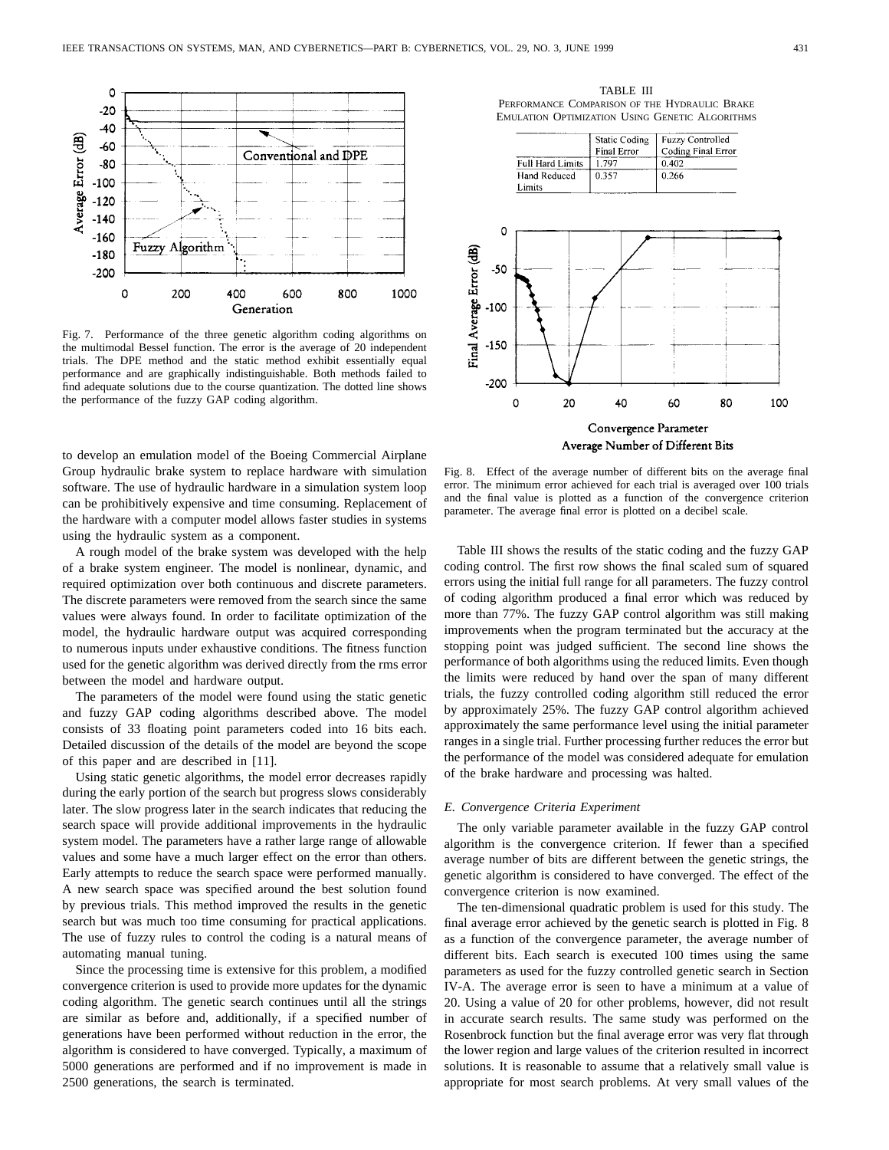

Fig. 7. Performance of the three genetic algorithm coding algorithms on the multimodal Bessel function. The error is the average of 20 independent trials. The DPE method and the static method exhibit essentially equal performance and are graphically indistinguishable. Both methods failed to find adequate solutions due to the course quantization. The dotted line shows the performance of the fuzzy GAP coding algorithm.

to develop an emulation model of the Boeing Commercial Airplane Group hydraulic brake system to replace hardware with simulation software. The use of hydraulic hardware in a simulation system loop can be prohibitively expensive and time consuming. Replacement of the hardware with a computer model allows faster studies in systems using the hydraulic system as a component.

A rough model of the brake system was developed with the help of a brake system engineer. The model is nonlinear, dynamic, and required optimization over both continuous and discrete parameters. The discrete parameters were removed from the search since the same values were always found. In order to facilitate optimization of the model, the hydraulic hardware output was acquired corresponding to numerous inputs under exhaustive conditions. The fitness function used for the genetic algorithm was derived directly from the rms error between the model and hardware output.

The parameters of the model were found using the static genetic and fuzzy GAP coding algorithms described above. The model consists of 33 floating point parameters coded into 16 bits each. Detailed discussion of the details of the model are beyond the scope of this paper and are described in [11].

Using static genetic algorithms, the model error decreases rapidly during the early portion of the search but progress slows considerably later. The slow progress later in the search indicates that reducing the search space will provide additional improvements in the hydraulic system model. The parameters have a rather large range of allowable values and some have a much larger effect on the error than others. Early attempts to reduce the search space were performed manually. A new search space was specified around the best solution found by previous trials. This method improved the results in the genetic search but was much too time consuming for practical applications. The use of fuzzy rules to control the coding is a natural means of automating manual tuning.

Since the processing time is extensive for this problem, a modified convergence criterion is used to provide more updates for the dynamic coding algorithm. The genetic search continues until all the strings are similar as before and, additionally, if a specified number of generations have been performed without reduction in the error, the algorithm is considered to have converged. Typically, a maximum of 5000 generations are performed and if no improvement is made in 2500 generations, the search is terminated.

TABLE III PERFORMANCE COMPARISON OF THE HYDRAULIC BRAKE EMULATION OPTIMIZATION USING GENETIC ALGORITHMS



Fig. 8. Effect of the average number of different bits on the average final error. The minimum error achieved for each trial is averaged over 100 trials and the final value is plotted as a function of the convergence criterion parameter. The average final error is plotted on a decibel scale.

Table III shows the results of the static coding and the fuzzy GAP coding control. The first row shows the final scaled sum of squared errors using the initial full range for all parameters. The fuzzy control of coding algorithm produced a final error which was reduced by more than 77%. The fuzzy GAP control algorithm was still making improvements when the program terminated but the accuracy at the stopping point was judged sufficient. The second line shows the performance of both algorithms using the reduced limits. Even though the limits were reduced by hand over the span of many different trials, the fuzzy controlled coding algorithm still reduced the error by approximately 25%. The fuzzy GAP control algorithm achieved approximately the same performance level using the initial parameter ranges in a single trial. Further processing further reduces the error but the performance of the model was considered adequate for emulation of the brake hardware and processing was halted.

#### *E. Convergence Criteria Experiment*

The only variable parameter available in the fuzzy GAP control algorithm is the convergence criterion. If fewer than a specified average number of bits are different between the genetic strings, the genetic algorithm is considered to have converged. The effect of the convergence criterion is now examined.

The ten-dimensional quadratic problem is used for this study. The final average error achieved by the genetic search is plotted in Fig. 8 as a function of the convergence parameter, the average number of different bits. Each search is executed 100 times using the same parameters as used for the fuzzy controlled genetic search in Section IV-A. The average error is seen to have a minimum at a value of 20. Using a value of 20 for other problems, however, did not result in accurate search results. The same study was performed on the Rosenbrock function but the final average error was very flat through the lower region and large values of the criterion resulted in incorrect solutions. It is reasonable to assume that a relatively small value is appropriate for most search problems. At very small values of the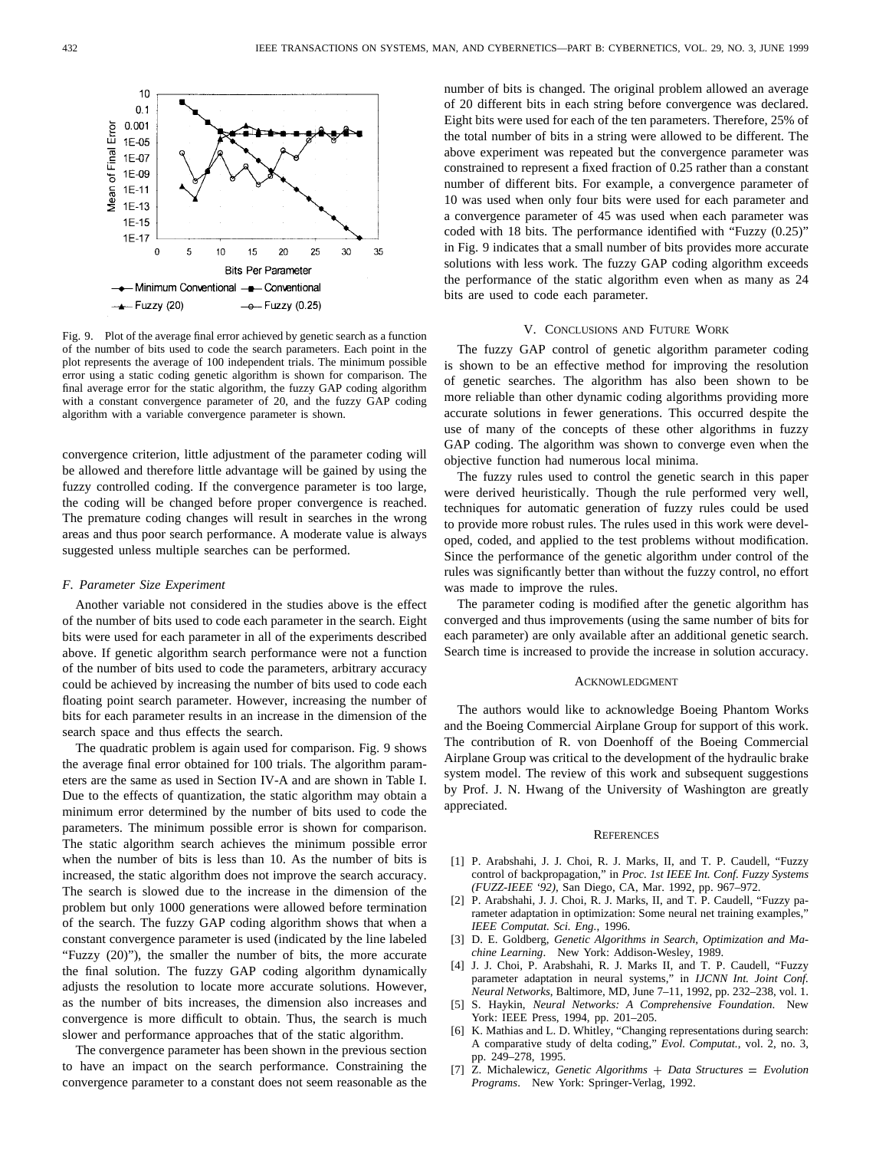

Fig. 9. Plot of the average final error achieved by genetic search as a function of the number of bits used to code the search parameters. Each point in the plot represents the average of 100 independent trials. The minimum possible error using a static coding genetic algorithm is shown for comparison. The final average error for the static algorithm, the fuzzy GAP coding algorithm with a constant convergence parameter of 20, and the fuzzy GAP coding algorithm with a variable convergence parameter is shown.

convergence criterion, little adjustment of the parameter coding will be allowed and therefore little advantage will be gained by using the fuzzy controlled coding. If the convergence parameter is too large, the coding will be changed before proper convergence is reached. The premature coding changes will result in searches in the wrong areas and thus poor search performance. A moderate value is always suggested unless multiple searches can be performed.

#### *F. Parameter Size Experiment*

Another variable not considered in the studies above is the effect of the number of bits used to code each parameter in the search. Eight bits were used for each parameter in all of the experiments described above. If genetic algorithm search performance were not a function of the number of bits used to code the parameters, arbitrary accuracy could be achieved by increasing the number of bits used to code each floating point search parameter. However, increasing the number of bits for each parameter results in an increase in the dimension of the search space and thus effects the search.

The quadratic problem is again used for comparison. Fig. 9 shows the average final error obtained for 100 trials. The algorithm parameters are the same as used in Section IV-A and are shown in Table I. Due to the effects of quantization, the static algorithm may obtain a minimum error determined by the number of bits used to code the parameters. The minimum possible error is shown for comparison. The static algorithm search achieves the minimum possible error when the number of bits is less than 10. As the number of bits is increased, the static algorithm does not improve the search accuracy. The search is slowed due to the increase in the dimension of the problem but only 1000 generations were allowed before termination of the search. The fuzzy GAP coding algorithm shows that when a constant convergence parameter is used (indicated by the line labeled "Fuzzy (20)"), the smaller the number of bits, the more accurate the final solution. The fuzzy GAP coding algorithm dynamically adjusts the resolution to locate more accurate solutions. However, as the number of bits increases, the dimension also increases and convergence is more difficult to obtain. Thus, the search is much slower and performance approaches that of the static algorithm.

The convergence parameter has been shown in the previous section to have an impact on the search performance. Constraining the convergence parameter to a constant does not seem reasonable as the

number of bits is changed. The original problem allowed an average of 20 different bits in each string before convergence was declared. Eight bits were used for each of the ten parameters. Therefore, 25% of the total number of bits in a string were allowed to be different. The above experiment was repeated but the convergence parameter was constrained to represent a fixed fraction of 0.25 rather than a constant number of different bits. For example, a convergence parameter of 10 was used when only four bits were used for each parameter and a convergence parameter of 45 was used when each parameter was coded with 18 bits. The performance identified with "Fuzzy (0.25)" in Fig. 9 indicates that a small number of bits provides more accurate solutions with less work. The fuzzy GAP coding algorithm exceeds the performance of the static algorithm even when as many as 24 bits are used to code each parameter.

### V. CONCLUSIONS AND FUTURE WORK

The fuzzy GAP control of genetic algorithm parameter coding is shown to be an effective method for improving the resolution of genetic searches. The algorithm has also been shown to be more reliable than other dynamic coding algorithms providing more accurate solutions in fewer generations. This occurred despite the use of many of the concepts of these other algorithms in fuzzy GAP coding. The algorithm was shown to converge even when the objective function had numerous local minima.

The fuzzy rules used to control the genetic search in this paper were derived heuristically. Though the rule performed very well, techniques for automatic generation of fuzzy rules could be used to provide more robust rules. The rules used in this work were developed, coded, and applied to the test problems without modification. Since the performance of the genetic algorithm under control of the rules was significantly better than without the fuzzy control, no effort was made to improve the rules.

The parameter coding is modified after the genetic algorithm has converged and thus improvements (using the same number of bits for each parameter) are only available after an additional genetic search. Search time is increased to provide the increase in solution accuracy.

#### ACKNOWLEDGMENT

The authors would like to acknowledge Boeing Phantom Works and the Boeing Commercial Airplane Group for support of this work. The contribution of R. von Doenhoff of the Boeing Commercial Airplane Group was critical to the development of the hydraulic brake system model. The review of this work and subsequent suggestions by Prof. J. N. Hwang of the University of Washington are greatly appreciated.

#### **REFERENCES**

- [1] P. Arabshahi, J. J. Choi, R. J. Marks, II, and T. P. Caudell, "Fuzzy control of backpropagation," in *Proc. 1st IEEE Int. Conf. Fuzzy Systems (FUZZ-IEEE '92)*, San Diego, CA, Mar. 1992, pp. 967–972.
- [2] P. Arabshahi, J. J. Choi, R. J. Marks, II, and T. P. Caudell, "Fuzzy parameter adaptation in optimization: Some neural net training examples," *IEEE Computat. Sci. Eng.*, 1996.
- [3] D. E. Goldberg, *Genetic Algorithms in Search, Optimization and Machine Learning*. New York: Addison-Wesley, 1989.
- [4] J. J. Choi, P. Arabshahi, R. J. Marks II, and T. P. Caudell, "Fuzzy parameter adaptation in neural systems," in *IJCNN Int. Joint Conf. Neural Networks*, Baltimore, MD, June 7–11, 1992, pp. 232–238, vol. 1.
- [5] S. Haykin, *Neural Networks: A Comprehensive Foundation*. New York: IEEE Press, 1994, pp. 201–205.
- [6] K. Mathias and L. D. Whitley, "Changing representations during search: A comparative study of delta coding," *Evol. Computat.*, vol. 2, no. 3, pp. 249–278, 1995.
- [7] Z. Michalewicz, *Genetic Algorithms* + *Data Structures* = *Evolution Programs*. New York: Springer-Verlag, 1992.